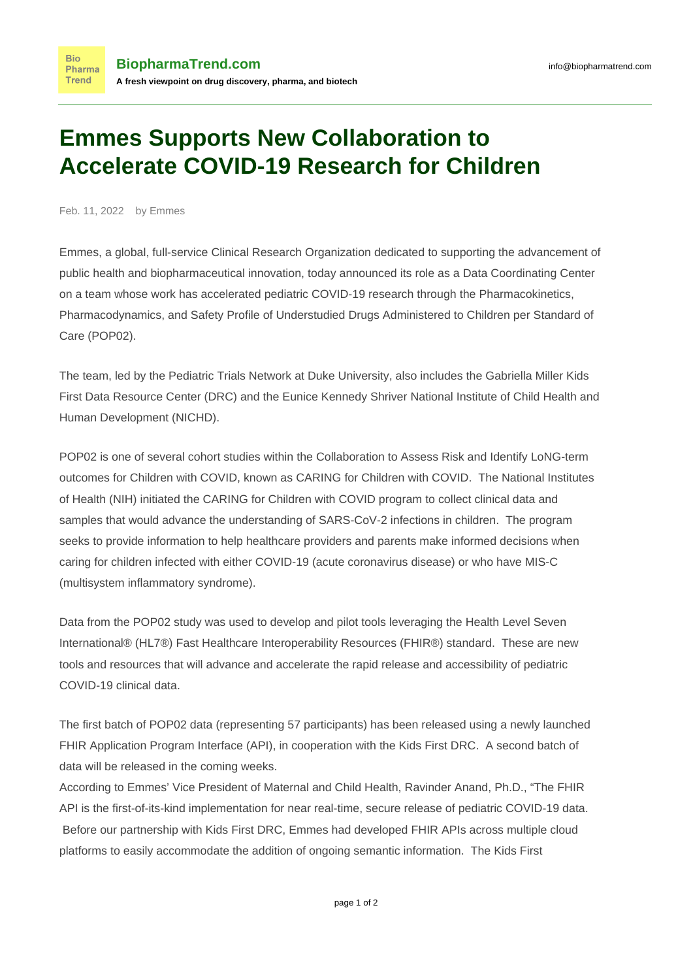## **Emmes Supports New Collaboration to Accelerate COVID-19 Research for Children**

Feb. 11, 2022 by Emmes

**Bio** 

Emmes, a global, full-service Clinical Research Organization dedicated to supporting the advancement of public health and biopharmaceutical innovation, today announced its role as a Data Coordinating Center on a team whose work has accelerated pediatric COVID-19 research through the Pharmacokinetics, Pharmacodynamics, and Safety Profile of Understudied Drugs Administered to Children per Standard of Care (POP02).

The team, led by the Pediatric Trials Network at Duke University, also includes the Gabriella Miller Kids First Data Resource Center (DRC) and the Eunice Kennedy Shriver National Institute of Child Health and Human Development (NICHD).

POP02 is one of several cohort studies within the Collaboration to Assess Risk and Identify LoNG-term outcomes for Children with COVID, known as CARING for Children with COVID. The National Institutes of Health (NIH) initiated the CARING for Children with COVID program to collect clinical data and samples that would advance the understanding of SARS-CoV-2 infections in children. The program seeks to provide information to help healthcare providers and parents make informed decisions when caring for children infected with either COVID-19 (acute coronavirus disease) or who have MIS-C (multisystem inflammatory syndrome).

Data from the POP02 study was used to develop and pilot tools leveraging the Health Level Seven International® (HL7®) Fast Healthcare Interoperability Resources (FHIR®) standard. These are new tools and resources that will advance and accelerate the rapid release and accessibility of pediatric COVID-19 clinical data.

The first batch of POP02 data (representing 57 participants) has been released using a newly launched FHIR Application Program Interface (API), in cooperation with the Kids First DRC. A second batch of data will be released in the coming weeks.

According to Emmes' Vice President of Maternal and Child Health, Ravinder Anand, Ph.D., "The FHIR API is the first-of-its-kind implementation for near real-time, secure release of pediatric COVID-19 data. Before our partnership with Kids First DRC, Emmes had developed FHIR APIs across multiple cloud platforms to easily accommodate the addition of ongoing semantic information. The Kids First